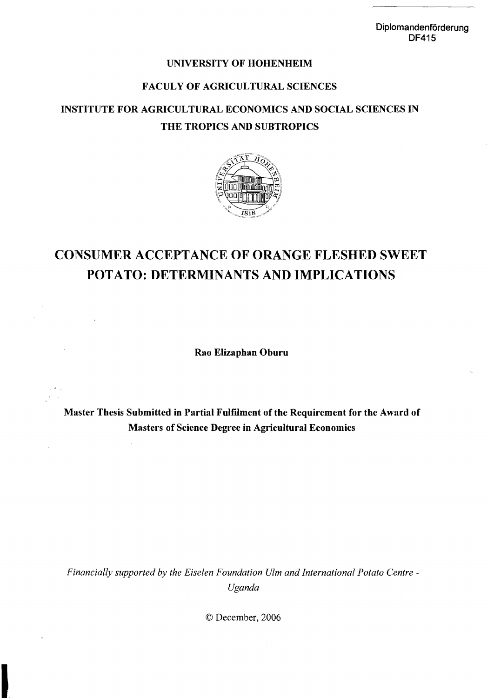### UNIVERSITY OF HOHENHEIM

## FACULY OF AGRICULTURAL SCIENCES

# INSTITUTE FOR AGRICULTURAL ECONOMICS AND SOCIAL SCIENCES IN THE TROPICS AND SUBTROPICS



# CONSUMER ACCEPTANCE OF ORANGE FLESHED SWEET POTATO: DETERMINANTS AND IMPLICATIONS

Rao Elizaphan Oburu

Master Thesis Submitted in Partial Fulfilment of the Requirement for the Award of Masters of Science Degree in Agricultural Economics

Financially supported by the Eiselen Foundation Ulm and International Potato Centre -*Uganda* 

© December, 2006